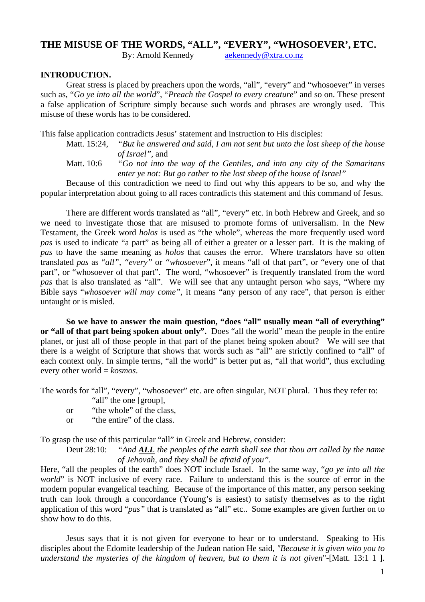# **THE MISUSE OF THE WORDS, "ALL", "EVERY", "WHOSOEVER', ETC.**

By: Arnold Kennedy aekennedy@xtra.co.nz

## **INTRODUCTION.**

 Great stress is placed by preachers upon the words, "all", "every" and "whosoever" in verses such as, "*Go ye into all the world*", "*Preach the Gospel to every creature*" and so on. These present a false application of Scripture simply because such words and phrases are wrongly used. This misuse of these words has to be considered.

This false application contradicts Jesus' statement and instruction to His disciples:

- Matt. 15:24, *"But he answered and said, I am not sent but unto the lost sheep of the house of Israel",* and
- Matt. 10:6 *"Go not into the way of the Gentiles, and into any city of the Samaritans enter ye not: But go rather to the lost sheep of the house of Israel"*

Because of this contradiction we need to find out why this appears to be so, and why the popular interpretation about going to all races contradicts this statement and this command of Jesus.

There are different words translated as "all", "every" etc. in both Hebrew and Greek, and so we need to investigate those that are misused to promote forms of universalism. In the New Testament, the Greek word *holos* is used as "the whole", whereas the more frequently used word *pas* is used to indicate "a part" as being all of either a greater or a lesser part. It is the making of *pas* to have the same meaning as *holos* that causes the error. Where translators have so often translated *pas* as "*all", "every"* or *"whosoever*", it means "all of that part", or "every one of that part", or "whosoever of that part". The word, "whosoever" is frequently translated from the word *pas* that is also translated as "all". We will see that any untaught person who says, "Where my Bible says "*whosoever will may come"*, it means "any person of any race", that person is either untaught or is misled.

**So we have to answer the main question, "does "all" usually mean "all of everything" or "all of that part being spoken about only".** Does "all the world" mean the people in the entire planet, or just all of those people in that part of the planet being spoken about? We will see that there is a weight of Scripture that shows that words such as "all" are strictly confined to "all" of each context only. In simple terms, "all the world" is better put as, "all that world", thus excluding every other world = *kosmos*.

The words for "all", "every", "whosoever" etc. are often singular, NOT plural. Thus they refer to:

- "all" the one [group],
- or "the whole" of the class,
- or "the entire" of the class.

To grasp the use of this particular "all" in Greek and Hebrew, consider:

Deut 28:10: *"And ALL the peoples of the earth shall see that thou art called by the name of Jehovah, and they shall be afraid of you".*

Here, "all the peoples of the earth" does NOT include Israel. In the same way, "*go ye into all the world*" is NOT inclusive of every race. Failure to understand this is the source of error in the modern popular evangelical teaching. Because of the importance of this matter, any person seeking truth can look through a concordance (Young's is easiest) to satisfy themselves as to the right application of this word "*pas"* that is translated as "all" etc.. Some examples are given further on to show how to do this.

Jesus says that it is not given for everyone to hear or to understand. Speaking to His disciples about the Edomite leadership of the Judean nation He said, *"Because it is given wito you to understand the mysteries of the kingdom of heaven, but to them it is not given*"-[Matt*.* 13:1 1 ].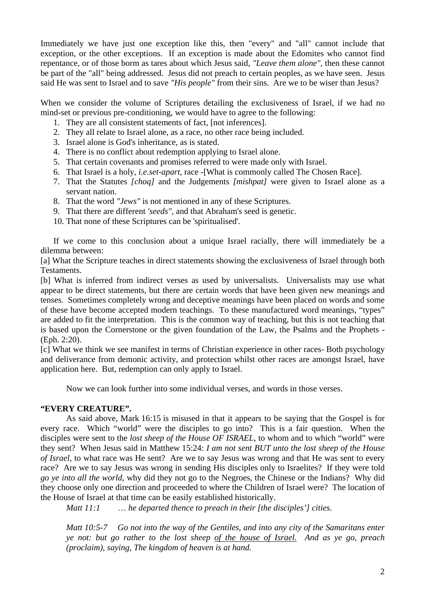Immediately we have just one exception like this, then "every" and "all" cannot include that exception, or the other exceptions. If an exception is made about the Edomites who cannot find repentance, or of those borm as tares about which Jesus said, *"Leave them alone",* then these cannot be part of the "all" being addressed. Jesus did not preach to certain peoples, as we have seen. Jesus said He was sent to Israel and to save *"His people"* from their sins. Are we to be wiser than Jesus?

When we consider the volume of Scriptures detailing the exclusiveness of Israel, if we had no mind-set or previous pre-conditioning, we would have to agree to the following:

- 1. They are all consistent statements of fact, [not inferences].
- 2. They all relate to Israel alone, as a race, no other race being included.
- 3. Israel alone is God's inheritance, as is stated.
- 4. There is no conflict about redemption applying to Israel alone.
- 5. That certain covenants and promises referred to were made only with Israel.
- 6. That Israel is a holy, *i.e.set-apart,* race -[What is commonly called The Chosen Race].
- 7. That the Statutes *[choq]* and the Judgements *[mishpat]* were given to Israel alone as a servant nation.
- 8. That the word *"Jews"* is not mentioned in any of these Scriptures.
- 9. That there are different *'seeds",* and that Abraham's seed is genetic.
- 10. That none of these Scriptures can be 'spiritualised'.

If we come to this conclusion about a unique Israel racially, there will immediately be a dilemma between:

[a] What the Scripture teaches in direct statements showing the exclusiveness of Israel through both Testaments.

[b] What is inferred from indirect verses as used by universalists. Universalists may use what appear to be direct statements, but there are certain words that have been given new meanings and tenses. Sometimes completely wrong and deceptive meanings have been placed on words and some of these have become accepted modern teachings. To these manufactured word meanings, "types" are added to fit the interpretation. This is the common way of teaching, but this is not teaching that is based upon the Cornerstone or the given foundation of the Law, the Psalms and the Prophets - (Eph. 2:20).

[c] What we think we see manifest in terms of Christian experience in other races- Both psychology and deliverance from demonic activity, and protection whilst other races are amongst Israel, have application here. But, redemption can only apply to Israel.

Now we can look further into some individual verses, and words in those verses.

## **"EVERY CREATURE".**

As said above, Mark 16:15 is misused in that it appears to be saying that the Gospel is for every race. Which "world" were the disciples to go into? This is a fair question. When the disciples were sent to the *lost sheep of the House OF ISRAEL*, to whom and to which "world" were they sent? When Jesus said in Matthew 15:24: *I am not sent BUT unto the lost sheep of the House of Israel*, to what race was He sent? Are we to say Jesus was wrong and that He was sent to every race? Are we to say Jesus was wrong in sending His disciples only to Israelites? If they were told *go ye into all the world*, why did they not go to the Negroes, the Chinese or the Indians? Why did they choose only one direction and proceeded to where the Children of Israel were? The location of the House of Israel at that time can be easily established historically.

*Matt 11:1* … *he departed thence to preach in their [the disciples'] cities.* 

*Matt 10:5-7 Go not into the way of the Gentiles, and into any city of the Samaritans enter ye not: but go rather to the lost sheep of the house of Israel. And as ye go, preach (proclaim), saying, The kingdom of heaven is at hand.*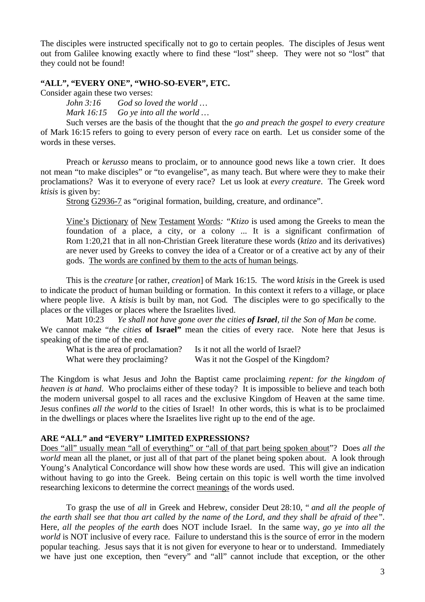The disciples were instructed specifically not to go to certain peoples. The disciples of Jesus went out from Galilee knowing exactly where to find these "lost" sheep. They were not so "lost" that they could not be found!

#### **"ALL", "EVERY ONE", "WHO-SO-EVER", ETC.**

Consider again these two verses:

*John 3:16 God so loved the world … Mark 16:15 Go ye into all the world …* 

Such verses are the basis of the thought that the *go and preach the gospel to every creature* of Mark 16:15 refers to going to every person of every race on earth. Let us consider some of the words in these verses.

Preach or *kerusso* means to proclaim, or to announce good news like a town crier. It does not mean "to make disciples" or "to evangelise", as many teach. But where were they to make their proclamations? Was it to everyone of every race? Let us look at *every creature*. The Greek word *ktisis* is given by:

Strong G2936-7 as "original formation, building, creature, and ordinance".

Vine's Dictionary of New Testament Words*: "Ktizo* is used among the Greeks to mean the foundation of a place, a city, or a colony ... It is a significant confirmation of Rom 1:20,21 that in all non-Christian Greek literature these words (*ktizo* and its derivatives) are never used by Greeks to convey the idea of a Creator or of a creative act by any of their gods. The words are confined by them to the acts of human beings.

This is the *creature* [or rather, *creation*] of Mark 16:15. The word *ktisis* in the Greek is used to indicate the product of human building or formation. In this context it refers to a village, or place where people live. A *ktisis* is built by man, not God*.* The disciples were to go specifically to the places or the villages or places where the Israelites lived.

Matt 10:23 *Ye shall not have gone over the cities of Israel, til the Son of Man be co*me. We cannot make "*the cities* **of Israel"** mean the cities of every race. Note here that Jesus is speaking of the time of the end.

What is the area of proclamation? Is it not all the world of Israel? What were they proclaiming? Was it not the Gospel of the Kingdom?

The Kingdom is what Jesus and John the Baptist came proclaiming *repent: for the kingdom of heaven is at hand*. Who proclaims either of these today? It is impossible to believe and teach both the modern universal gospel to all races and the exclusive Kingdom of Heaven at the same time. Jesus confines *all the world* to the cities of Israel! In other words, this is what is to be proclaimed in the dwellings or places where the Israelites live right up to the end of the age.

## **ARE "ALL" and "EVERY" LIMITED EXPRESSIONS?**

Does "all" usually mean "all of everything" or "all of that part being spoken about"? Does *all the world* mean all the planet, or just all of that part of the planet being spoken about. A look through Young's Analytical Concordance will show how these words are used. This will give an indication without having to go into the Greek. Being certain on this topic is well worth the time involved researching lexicons to determine the correct meanings of the words used.

To grasp the use of *all* in Greek and Hebrew, consider Deut 28:10, " *and all the people of the earth shall see that thou art called by the name of the Lord, and they shall be afraid of thee"*. Here, *all the peoples of the earth* does NOT include Israel. In the same way, *go ye into all the world* is NOT inclusive of every race. Failure to understand this is the source of error in the modern popular teaching. Jesus says that it is not given for everyone to hear or to understand. Immediately we have just one exception, then "every" and "all" cannot include that exception, or the other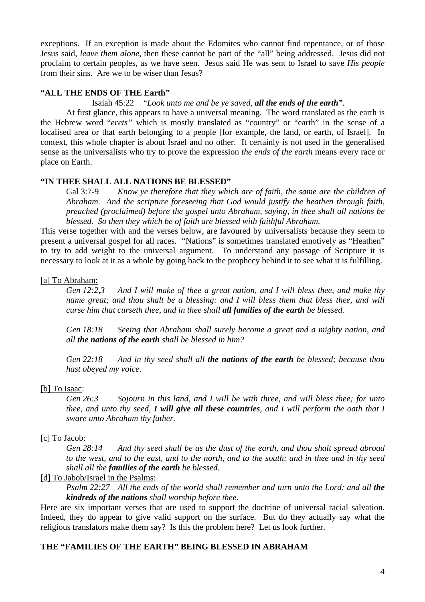exceptions. If an exception is made about the Edomites who cannot find repentance, or of those Jesus said, *leave them alone*, then these cannot be part of the "all" being addressed. Jesus did not proclaim to certain peoples, as we have seen. Jesus said He was sent to Israel to save *His people* from their sins. Are we to be wiser than Jesus?

## **"ALL THE ENDS OF THE Earth"**

#### Isaiah 45:22 "*Look unto me and be ye saved, all the ends of the earth".*

At first glance, this appears to have a universal meaning. The word translated as the earth is the Hebrew word "*erets"* which is mostly translated as "country" or "earth" in the sense of a localised area or that earth belonging to a people [for example, the land, or earth, of Israel]. In context, this whole chapter is about Israel and no other. It certainly is not used in the generalised sense as the universalists who try to prove the expression *the ends of the earth* means every race or place on Earth.

## **"IN THEE SHALL ALL NATIONS BE BLESSED"**

Gal 3:7-9 *Know ye therefore that they which are of faith, the same are the children of Abraham. And the scripture foreseeing that God would justify the heathen through faith, preached (proclaimed) before the gospel unto Abraham, saying, in thee shall all nations be blessed. So then they which be of faith are blessed with faithful Abraham.* 

This verse together with and the verses below, are favoured by universalists because they seem to present a universal gospel for all races. "Nations" is sometimes translated emotively as "Heathen" to try to add weight to the universal argument. To understand any passage of Scripture it is necessary to look at it as a whole by going back to the prophecy behind it to see what it is fulfilling.

## [a] To Abraham:

*Gen 12:2,3 And I will make of thee a great nation, and I will bless thee, and make thy name great; and thou shalt be a blessing: and I will bless them that bless thee, and will curse him that curseth thee, and in thee shall all families of the earth be blessed.* 

*Gen 18:18 Seeing that Abraham shall surely become a great and a mighty nation, and all the nations of the earth shall be blessed in him?* 

*Gen 22:18 And in thy seed shall all the nations of the earth be blessed; because thou hast obeyed my voice*.

## [b] To Isaac:

*Gen 26:3 Sojourn in this land, and I will be with three, and will bless thee; for unto thee, and unto thy seed, I will give all these countries, and I will perform the oath that I sware unto Abraham thy father.* 

## [c] To Jacob:

*Gen 28:14 And thy seed shall be as the dust of the earth, and thou shalt spread abroad to the west, and to the east, and to the north, and to the south: and in thee and in thy seed shall all the families of the earth be blessed.* 

## [d] To Jabob/Israel in the Psalms:

*Psalm 22:27 All the ends of the world shall remember and turn unto the Lord: and all the kindreds of the nations shall worship before thee.* 

Here are six important verses that are used to support the doctrine of universal racial salvation. Indeed, they do appear to give valid support on the surface. But do they actually say what the religious translators make them say? Is this the problem here? Let us look further.

## **THE "FAMILIES OF THE EARTH" BEING BLESSED IN ABRAHAM**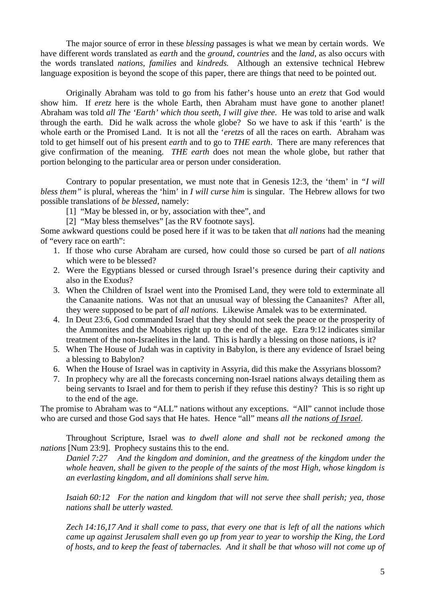The major source of error in these *blessing* passages is what we mean by certain words. We have different words translated as *earth* and the *ground*, *countries* and the *land*, as also occurs with the words translated *nations*, *families* and *kindreds.* Although an extensive technical Hebrew language exposition is beyond the scope of this paper, there are things that need to be pointed out.

Originally Abraham was told to go from his father's house unto an *eretz* that God would show him. If *eretz* here is the whole Earth, then Abraham must have gone to another planet! Abraham was told *all The 'Earth' which thou seeth, I will give thee*. He was told to arise and walk through the earth. Did he walk across the whole globe? So we have to ask if this 'earth' is the whole earth or the Promised Land. It is not all the '*eretz*s of all the races on earth. Abraham was told to get himself out of his present *earth* and to go to *THE earth*. There are many references that give confirmation of the meaning. *THE earth* does not mean the whole globe, but rather that portion belonging to the particular area or person under consideration.

Contrary to popular presentation, we must note that in Genesis 12:3, the 'them' in *"I will bless them"* is plural, whereas the 'him' in *I will curse him* is singular. The Hebrew allows for two possible translations of *be blessed*, namely:

[1] "May be blessed in, or by, association with thee", and

[2] "May bless themselves" [as the RV footnote says].

Some awkward questions could be posed here if it was to be taken that *all nations* had the meaning of "every race on earth":

- 1. If those who curse Abraham are cursed, how could those so cursed be part of *all nations* which were to be blessed?
- 2. Were the Egyptians blessed or cursed through Israel's presence during their captivity and also in the Exodus?
- 3. When the Children of Israel went into the Promised Land, they were told to exterminate all the Canaanite nations. Was not that an unusual way of blessing the Canaanites? After all, they were supposed to be part of *all nations*. Likewise Amalek was to be exterminated.
- 4. In Deut 23:6, God commanded Israel that they should not seek the peace or the prosperity of the Ammonites and the Moabites right up to the end of the age. Ezra 9:12 indicates similar treatment of the non-Israelites in the land. This is hardly a blessing on those nations, is it?
- 5. When The House of Judah was in captivity in Babylon, is there any evidence of Israel being a blessing to Babylon?
- 6. When the House of Israel was in captivity in Assyria, did this make the Assyrians blossom?
- 7. In prophecy why are all the forecasts concerning non-Israel nations always detailing them as being servants to Israel and for them to perish if they refuse this destiny? This is so right up to the end of the age.

The promise to Abraham was to "ALL" nations without any exceptions. "All" cannot include those who are cursed and those God says that He hates. Hence "all" means *all the nations of Israel*.

Throughout Scripture, Israel was *to dwell alone and shall not be reckoned among the nations* [Num 23:9]. Prophecy sustains this to the end.

*Daniel 7:27 And the kingdom and dominion, and the greatness of the kingdom under the whole heaven, shall be given to the people of the saints of the most High, whose kingdom is an everlasting kingdom, and all dominions shall serve him.* 

*Isaiah 60:12 For the nation and kingdom that will not serve thee shall perish; yea, those nations shall be utterly wasted.* 

*Zech 14:16,17 And it shall come to pass, that every one that is left of all the nations which came up against Jerusalem shall even go up from year to year to worship the King, the Lord of hosts, and to keep the feast of tabernacles. And it shall be that whoso will not come up of*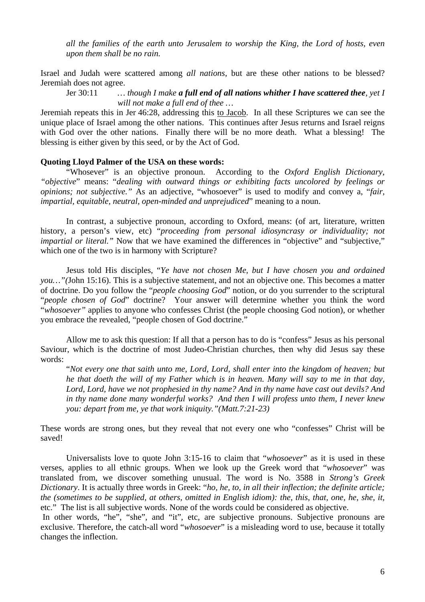*all the families of the earth unto Jerusalem to worship the King, the Lord of hosts, even upon them shall be no rain.* 

Israel and Judah were scattered among *all nations*, but are these other nations to be blessed? Jeremiah does not agree.

Jer 30:11 *… though I make a full end of all nations whither I have scattered thee, yet I will not make a full end of thee …* 

Jeremiah repeats this in Jer 46:28, addressing this to Jacob. In all these Scriptures we can see the unique place of Israel among the other nations. This continues after Jesus returns and Israel reigns with God over the other nations. Finally there will be no more death. What a blessing! The blessing is either given by this seed, or by the Act of God.

### **Quoting Lloyd Palmer of the USA on these words:**

"Whosever" is an objective pronoun. According to the *Oxford English Dictionary*, *"objective*" means: "*dealing with outward things or exhibiting facts uncolored by feelings or opinions; not subjective."* As an adjective, "whosoever" is used to modify and convey a, "*fair, impartial, equitable, neutral, open-minded and unprejudiced*" meaning to a noun.

In contrast, a subjective pronoun, according to Oxford, means: (of art, literature, written history, a person's view, etc) "*proceeding from personal idiosyncrasy or individuality; not impartial or literal.*" Now that we have examined the differences in "objective" and "subjective," which one of the two is in harmony with Scripture?

Jesus told His disciples, "*Ye have not chosen Me, but I have chosen you and ordained you…"(*John 15:16). This is a subjective statement, and not an objective one. This becomes a matter of doctrine. Do you follow the "*people choosing God*" notion, or do you surrender to the scriptural "*people chosen of God*" doctrine? Your answer will determine whether you think the word "*whosoever"* applies to anyone who confesses Christ (the people choosing God notion), or whether you embrace the revealed, "people chosen of God doctrine."

Allow me to ask this question: If all that a person has to do is "confess" Jesus as his personal Saviour, which is the doctrine of most Judeo-Christian churches, then why did Jesus say these words:

"*Not every one that saith unto me, Lord, Lord, shall enter into the kingdom of heaven; but he that doeth the will of my Father which is in heaven. Many will say to me in that day, Lord, Lord, have we not prophesied in thy name? And in thy name have cast out devils? And in thy name done many wonderful works? And then I will profess unto them, I never knew you: depart from me, ye that work iniquity."(Matt.7:21-23)* 

These words are strong ones, but they reveal that not every one who "confesses" Christ will be saved!

Universalists love to quote John 3:15-16 to claim that "*whosoever*" as it is used in these verses, applies to all ethnic groups. When we look up the Greek word that "*whosoever*" was translated from, we discover something unusual. The word is No. 3588 in *Strong's Greek Dictionary*. It is actually three words in Greek: "*ho, he, to, in all their inflection; the definite article; the (sometimes to be supplied, at others, omitted in English idiom): the, this, that, one, he, she, it,* etc." The list is all subjective words. None of the words could be considered as objective.

In other words, "he", "she", and "it", etc, are subjective pronouns. Subjective pronouns are exclusive. Therefore, the catch-all word "*whosoever*" is a misleading word to use, because it totally changes the inflection.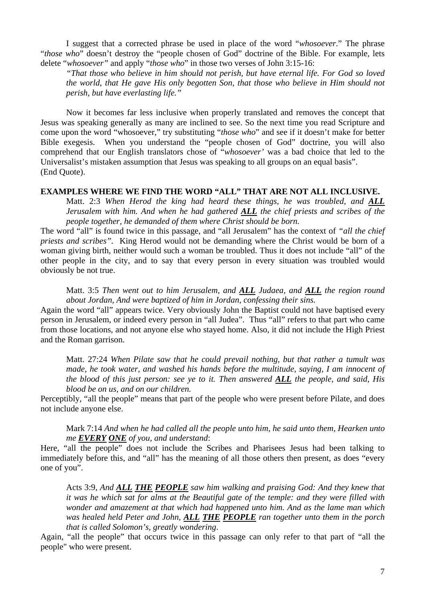I suggest that a corrected phrase be used in place of the word "*whosoever*." The phrase "*those who*" doesn't destroy the "people chosen of God" doctrine of the Bible. For example, lets delete "*whosoever"* and apply "*those who*" in those two verses of John 3:15-16:

*"That those who believe in him should not perish, but have eternal life. For God so loved the world, that He gave His only begotten Son, that those who believe in Him should not perish, but have everlasting life."* 

Now it becomes far less inclusive when properly translated and removes the concept that Jesus was speaking generally as many are inclined to see. So the next time you read Scripture and come upon the word "whosoever," try substituting "*those who*" and see if it doesn't make for better Bible exegesis. When you understand the "people chosen of God" doctrine, you will also comprehend that our English translators chose of "*whosoever'* was a bad choice that led to the Universalist's mistaken assumption that Jesus was speaking to all groups on an equal basis". (End Quote).

#### **EXAMPLES WHERE WE FIND THE WORD "ALL" THAT ARE NOT ALL INCLUSIVE.**

Matt. 2:3 *When Herod the king had heard these things, he was troubled, and ALL Jerusalem with him. And when he had gathered ALL the chief priests and scribes of the people together, he demanded of them where Christ should be born.*

The word "all" is found twice in this passage, and "all Jerusalem" has the context of *"all the chief priests and scribes".* King Herod would not be demanding where the Christ would be born of a woman giving birth, neither would such a woman be troubled. Thus it does not include "all" of the other people in the city, and to say that every person in every situation was troubled would obviously be not true.

Matt. 3:5 *Then went out to him Jerusalem, and ALL Judaea, and ALL the region round about Jordan, And were baptized of him in Jordan, confessing their sins.* 

Again the word "all" appears twice. Very obviously John the Baptist could not have baptised every person in Jerusalem, or indeed every person in "all Judea". Thus "all" refers to that part who came from those locations, and not anyone else who stayed home. Also, it did not include the High Priest and the Roman garrison.

Matt. 27:24 *When Pilate saw that he could prevail nothing, but that rather a tumult was made, he took water, and washed his hands before the multitude, saying, I am innocent of the blood of this just person: see ye to it. Then answered ALL the people, and said, His blood be on us, and on our children.*

Perceptibly, "all the people" means that part of the people who were present before Pilate, and does not include anyone else.

Mark 7:14 *And when he had called all the people unto him, he said unto them, Hearken unto me EVERY ONE of you, and understand*:

Here, "all the people" does not include the Scribes and Pharisees Jesus had been talking to immediately before this, and "all" has the meaning of all those others then present, as does "every one of you".

Acts 3:9, *And ALL THE PEOPLE saw him walking and praising God: And they knew that it was he which sat for alms at the Beautiful gate of the temple: and they were filled with wonder and amazement at that which had happened unto him. And as the lame man which was healed held Peter and John, ALL THE PEOPLE ran together unto them in the porch that is called Solomon's, greatly wondering*.

Again, "all the people" that occurs twice in this passage can only refer to that part of "all the people" who were present.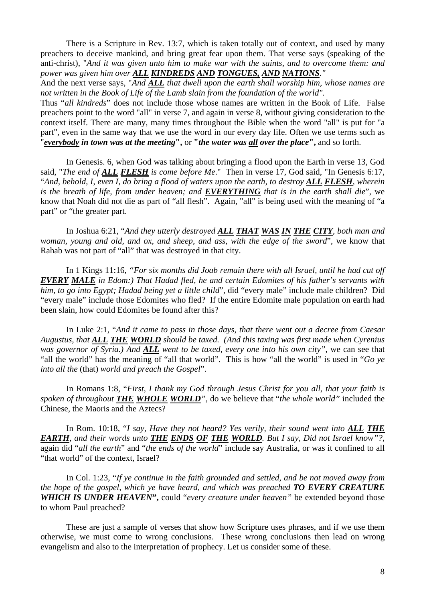There is a Scripture in Rev. 13:7, which is taken totally out of context, and used by many preachers to deceive mankind, and bring great fear upon them. That verse says (speaking of the anti-christ), "*And it was given unto him to make war with the saints, and to overcome them: and power was given him over ALL KINDREDS AND TONGUES, AND NATIONS."*

And the next verse says, "*And ALL that dwell upon the earth shall worship him, whose names are not written in the Book of Life of the Lamb slain from the foundation of the world".*

Thus "*all kindreds*" does not include those whose names are written in the Book of Life. False preachers point to the word "all" in verse 7, and again in verse 8, without giving consideration to the context itself. There are many, many times throughout the Bible when the word "all" is put for "a part", even in the same way that we use the word in our every day life. Often we use terms such as "*everybody in town was at the meeting***",** or **"***the water was all over the place***",** and so forth.

In Genesis. 6, when God was talking about bringing a flood upon the Earth in verse 13, God said, "*The end of ALL FLESH is come before Me*." Then in verse 17, God said, "In Genesis 6:17, "And, behold, I, even I, do bring a flood of waters upon the earth, to destroy **ALL FLESH**, wherein *is the breath of life, from under heaven; and EVERYTHING that is in the earth shall die*", we know that Noah did not die as part of "all flesh". Again, "all" is being used with the meaning of "a part" or "the greater part.

In Joshua 6:21, "*And they utterly destroyed ALL THAT WAS IN THE CITY, both man and woman, young and old, and ox, and sheep, and ass, with the edge of the sword*", we know that Rahab was not part of "all" that was destroyed in that city.

In 1 Kings 11:16, *"For six months did Joab remain there with all Israel, until he had cut off EVERY MALE in Edom:) That Hadad fled, he and certain Edomites of his father's servants with him, to go into Egypt; Hadad being yet a little child*", did "every male" include male children? Did "every male" include those Edomites who fled? If the entire Edomite male population on earth had been slain, how could Edomites be found after this?

In Luke 2:1, "*And it came to pass in those days, that there went out a decree from Caesar Augustus, that ALL THE WORLD should be taxed. (And this taxing was first made when Cyrenius was governor of Syria.) And ALL went to be taxed, every one into his own city"*, we can see that "all the world" has the meaning of "all that world". This is how "all the world" is used in "*Go ye into all the* (that) *world and preach the Gospel*".

In Romans 1:8, "*First, I thank my God through Jesus Christ for you all, that your faith is spoken of throughout THE WHOLE WORLD"*, do we believe that "*the whole world"* included the Chinese, the Maoris and the Aztecs?

In Rom. 10:18, "*I say, Have they not heard? Yes verily, their sound went into ALL THE EARTH, and their words unto THE ENDS OF THE WORLD. But I say, Did not Israel know"?*, again did "*all the earth*" and "*the ends of the world*" include say Australia, or was it confined to all "that world" of the context, Israel?

In Col. 1:23, "*If ye continue in the faith grounded and settled, and be not moved away from the hope of the gospel, which ye have heard, and which was preached TO EVERY CREATURE WHICH IS UNDER HEAVEN***",** could "*every creature under heaven"* be extended beyond those to whom Paul preached?

These are just a sample of verses that show how Scripture uses phrases, and if we use them otherwise, we must come to wrong conclusions. These wrong conclusions then lead on wrong evangelism and also to the interpretation of prophecy. Let us consider some of these.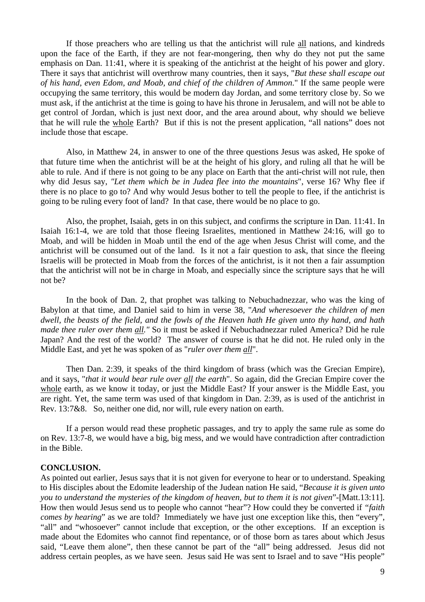If those preachers who are telling us that the antichrist will rule all nations, and kindreds upon the face of the Earth, if they are not fear-mongering, then why do they not put the same emphasis on Dan. 11:41, where it is speaking of the antichrist at the height of his power and glory. There it says that antichrist will overthrow many countries, then it says, "*But these shall escape out of his hand, even Edom, and Moab, and chief of the children of Ammon*." If the same people were occupying the same territory, this would be modern day Jordan, and some territory close by. So we must ask, if the antichrist at the time is going to have his throne in Jerusalem, and will not be able to get control of Jordan, which is just next door, and the area around about, why should we believe that he will rule the whole Earth? But if this is not the present application, "all nations" does not include those that escape.

Also, in Matthew 24, in answer to one of the three questions Jesus was asked, He spoke of that future time when the antichrist will be at the height of his glory, and ruling all that he will be able to rule. And if there is not going to be any place on Earth that the anti-christ will not rule, then why did Jesus say, *"Let them which be in Judea flee into the mountains*", verse 16? Why flee if there is no place to go to? And why would Jesus bother to tell the people to flee, if the antichrist is going to be ruling every foot of land? In that case, there would be no place to go.

Also, the prophet, Isaiah, gets in on this subject, and confirms the scripture in Dan. 11:41. In Isaiah 16:1-4, we are told that those fleeing Israelites, mentioned in Matthew 24:16, will go to Moab, and will be hidden in Moab until the end of the age when Jesus Christ will come, and the antichrist will be consumed out of the land. Is it not a fair question to ask, that since the fleeing Israelis will be protected in Moab from the forces of the antichrist, is it not then a fair assumption that the antichrist will not be in charge in Moab, and especially since the scripture says that he will not be?

In the book of Dan. 2, that prophet was talking to Nebuchadnezzar, who was the king of Babylon at that time, and Daniel said to him in verse 38, "*And wheresoever the children of men dwell, the beasts of the field, and the fowls of the Heaven hath He given unto thy hand, and hath made thee ruler over them all."* So it must be asked if Nebuchadnezzar ruled America? Did he rule Japan? And the rest of the world? The answer of course is that he did not. He ruled only in the Middle East, and yet he was spoken of as "*ruler over them all*".

Then Dan. 2:39, it speaks of the third kingdom of brass (which was the Grecian Empire), and it says, "*that it would bear rule over all the earth*". So again, did the Grecian Empire cover the whole earth, as we know it today, or just the Middle East? If your answer is the Middle East, you are right. Yet, the same term was used of that kingdom in Dan. 2:39, as is used of the antichrist in Rev. 13:7&8. So, neither one did, nor will, rule every nation on earth.

If a person would read these prophetic passages, and try to apply the same rule as some do on Rev. 13:7-8, we would have a big, big mess, and we would have contradiction after contradiction in the Bible.

#### **CONCLUSION.**

As pointed out earlier, Jesus says that it is not given for everyone to hear or to understand. Speaking to His disciples about the Edomite leadership of the Judean nation He said, "*Because it is given unto you to understand the mysteries of the kingdom of heaven, but to them it is not given*"-[Matt.13:11]. How then would Jesus send us to people who cannot "hear"? How could they be converted if *"faith comes by hearing*" as we are told? Immediately we have just one exception like this, then "every", "all" and "whosoever" cannot include that exception, or the other exceptions. If an exception is made about the Edomites who cannot find repentance, or of those born as tares about which Jesus said, "Leave them alone", then these cannot be part of the "all" being addressed. Jesus did not address certain peoples, as we have seen. Jesus said He was sent to Israel and to save "His people"